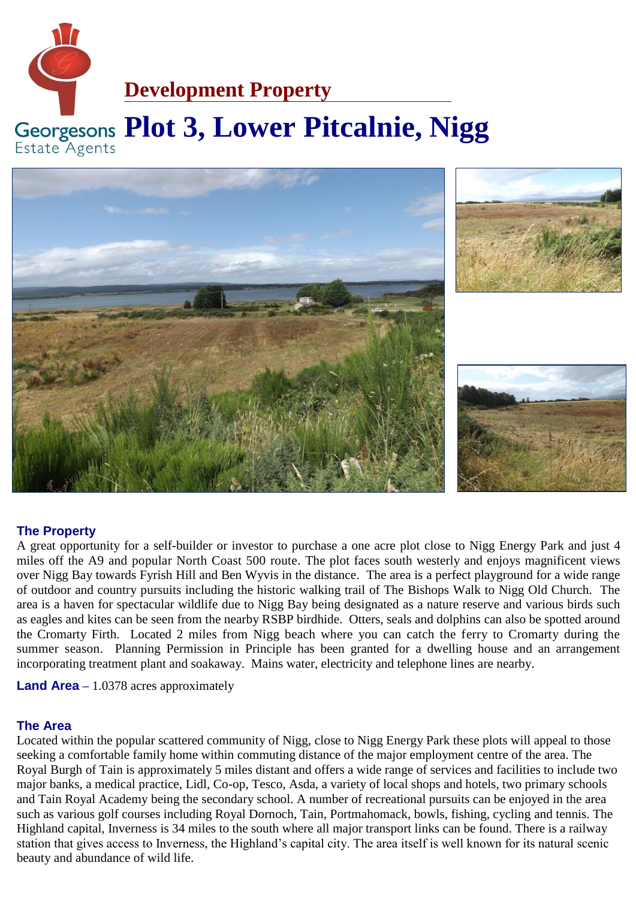



# **The Property**

A great opportunity for a self-builder or investor to purchase a one acre plot close to Nigg Energy Park and just 4 miles off the A9 and popular North Coast 500 route. The plot faces south westerly and enjoys magnificent views over Nigg Bay towards Fyrish Hill and Ben Wyvis in the distance. The area is a perfect playground for a wide range of outdoor and country pursuits including the historic walking trail of The Bishops Walk to Nigg Old Church. The area is a haven for spectacular wildlife due to Nigg Bay being designated as a nature reserve and various birds such as eagles and kites can be seen from the nearby RSBP birdhide. Otters, seals and dolphins can also be spotted around the Cromarty Firth. Located 2 miles from Nigg beach where you can catch the ferry to Cromarty during the summer season. Planning Permission in Principle has been granted for a dwelling house and an arrangement incorporating treatment plant and soakaway. Mains water, electricity and telephone lines are nearby.

**Land Area** – 1.0378 acres approximately

## **The Area**

Located within the popular scattered community of Nigg, close to Nigg Energy Park these plots will appeal to those seeking a comfortable family home within commuting distance of the major employment centre of the area. The Royal Burgh of Tain is approximately 5 miles distant and offers a wide range of services and facilities to include two major banks, a medical practice, Lidl, Co-op, Tesco, Asda, a variety of local shops and hotels, two primary schools and Tain Royal Academy being the secondary school. A number of recreational pursuits can be enjoyed in the area such as various golf courses including Royal Dornoch, Tain, Portmahomack, bowls, fishing, cycling and tennis. The Highland capital, Inverness is 34 miles to the south where all major transport links can be found. There is a railway station that gives access to Inverness, the Highland's capital city. The area itself is well known for its natural scenic beauty and abundance of wild life.